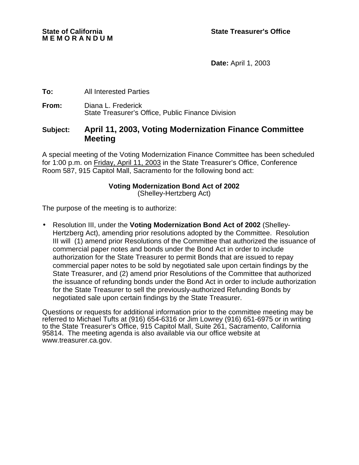**Date:** April 1, 2003

### **To:** All Interested Parties

**From:** Diana L. Frederick State Treasurer's Office, Public Finance Division

### **Subject: April 11, 2003, Voting Modernization Finance Committee Meeting**

A special meeting of the Voting Modernization Finance Committee has been scheduled for 1:00 p.m. on Friday, April 11, 2003 in the State Treasurer's Office, Conference Room 587, 915 Capitol Mall, Sacramento for the following bond act:

#### **Voting Modernization Bond Act of 2002** (Shelley-Hertzberg Act)

The purpose of the meeting is to authorize:

• Resolution III, under the **Voting Modernization Bond Act of 2002** (Shelley-Hertzberg Act), amending prior resolutions adopted by the Committee. Resolution III will (1) amend prior Resolutions of the Committee that authorized the issuance of commercial paper notes and bonds under the Bond Act in order to include authorization for the State Treasurer to permit Bonds that are issued to repay commercial paper notes to be sold by negotiated sale upon certain findings by the State Treasurer, and (2) amend prior Resolutions of the Committee that authorized the issuance of refunding bonds under the Bond Act in order to include authorization for the State Treasurer to sell the previously-authorized Refunding Bonds by negotiated sale upon certain findings by the State Treasurer.

Questions or requests for additional information prior to the committee meeting may be referred to Michael Tufts at (916) 654-6316 or Jim Lowrey (916) 651-6975 or in writing to the State Treasurer's Office, 915 Capitol Mall, Suite 261, Sacramento, California 95814. The meeting agenda is also available via our office website at www.treasurer.ca.gov.